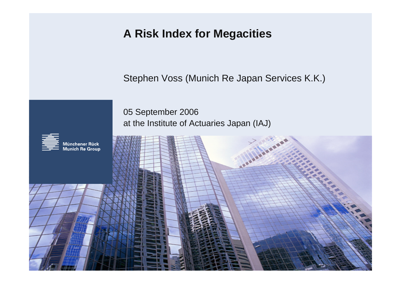## **A Risk Index for Megacities**

Stephen Voss (Munich Re Japan Services K.K.)

05 September 2006 at the Institute of Actuaries Japan (IAJ)

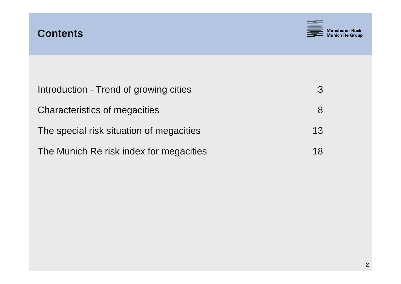



| Introduction - Trend of growing cities   | $\mathcal{S}$ |
|------------------------------------------|---------------|
| Characteristics of megacities            | 8             |
| The special risk situation of megacities | 13            |
| The Munich Re risk index for megacities  | 18            |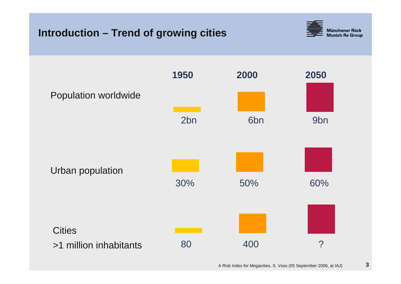### **Introduction – Trend of growing cities**



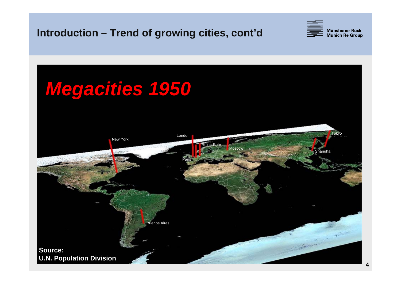#### **Introduction – Trend of growing cities, cont'd**



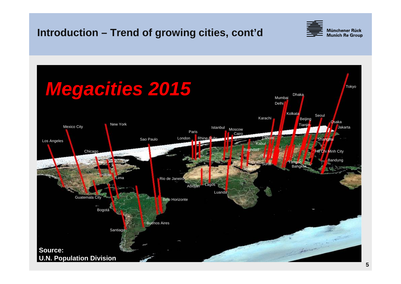### **Introduction – Trend of growing cities, cont'd**



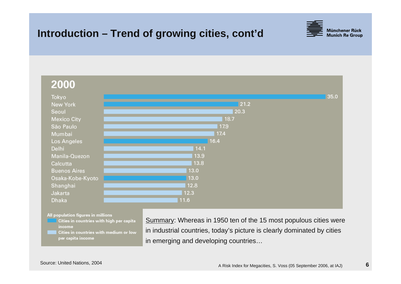### **Introduction – Trend of growing cities, cont'd**





All population figures in millions

- Cities in countries with high per capita income
- Cities in countries with medium or low per capita income

Summary: Whereas in 1950 ten of the 15 most populous cities were in industrial countries, today's picture is clearly dominated by cities in emerging and developing countries…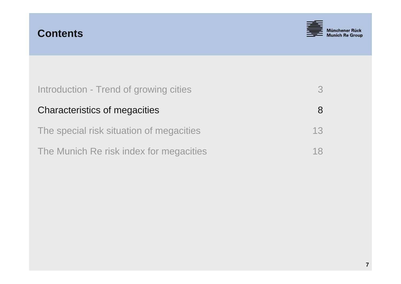



| Introduction - Trend of growing cities   | $\mathcal{S}$ |
|------------------------------------------|---------------|
| Characteristics of megacities            | 8             |
| The special risk situation of megacities | 13            |
| The Munich Re risk index for megacities  | 18            |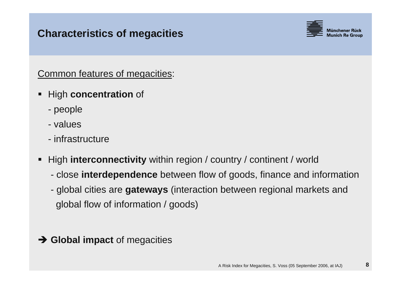#### **Characteristics of megacities**



Common features of megacities:

- **Service Service**  High **concentration** of
	- people
	- values
	- infrastructure
- T. High **interconnectivity** within region / country / continent / world
	- $\mathcal{L}_{\mathcal{A}}$ close **interdependence** between flow of goods, finance and information
	- $\mathcal{L}_{\mathcal{A}}$  global cities are **gateways** (interaction between regional markets and global flow of information / goods)
- **→ Global impact** of megacities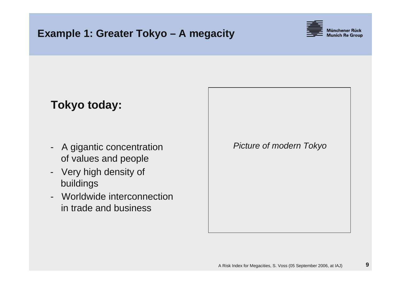

# **Tokyo today:**

- $\blacksquare$  A gigantic concentration of values and people
- - Very high density of buildings
- Worldwide interconnectionin trade and business

*Picture of modern Tokyo*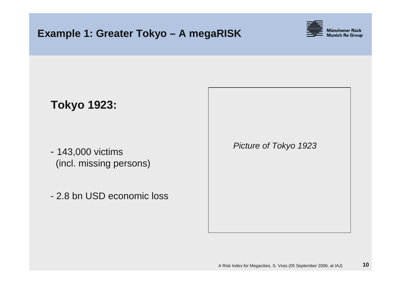

# **Tokyo 1923:**

- 143,000 victims (incl. missing persons)
- 2.8 bn USD economic loss

*Picture of Tokyo 1923*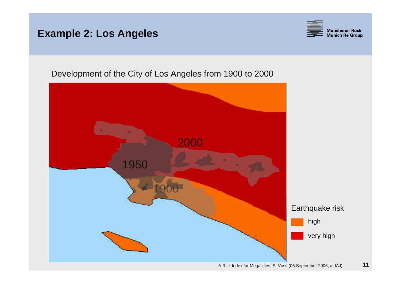#### **Example 2: Los Angeles**



Development of the City of Los Angeles from 1900 to 2000

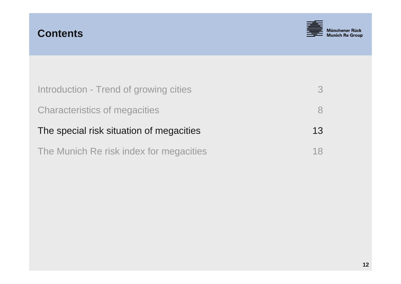



| Introduction - Trend of growing cities   | $\mathcal{B}$ |
|------------------------------------------|---------------|
| <b>Characteristics of megacities</b>     | 8             |
| The special risk situation of megacities | 13            |
| The Munich Re risk index for megacities  | 18            |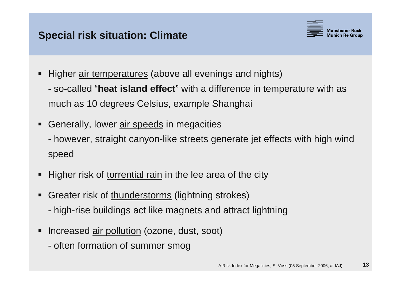

- Higher air temperatures (above all evenings and nights)
	- $\mathcal{L}_{\mathcal{A}}$  so-called "**heat island effect**" with a difference in temperature with as much as 10 degrees Celsius, example Shanghai
- T. Generally, lower air speeds in megacities
	- $\mathcal{L}_{\mathcal{A}}$  however, straight canyon-like streets generate jet effects with high wind speed
- T. Higher risk of torrential rain in the lee area of the city
- **Service Service** Greater risk of thunderstorms (lightning strokes)
	- high-rise buildings act like magnets and attract lightning
- **Service Service** Increased air pollution (ozone, dust, soot)
	- often formation of summer smog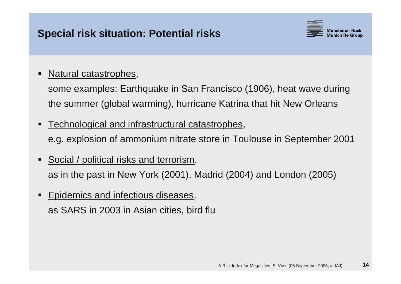

#### T. Natural catastrophes,

some examples: Earthquake in San Francisco (1906), heat wave during the summer (global warming), hurricane Katrina that hit New Orleans

T. Technological and infrastructural catastrophes,

e.g. explosion of ammonium nitrate store in Toulouse in September 2001

- T. Social / political risks and terrorism, as in the past in New York (2001), Madrid (2004) and London (2005)
- **Service Service**  Epidemics and infectious diseases, as SARS in 2003 in Asian cities, bird flu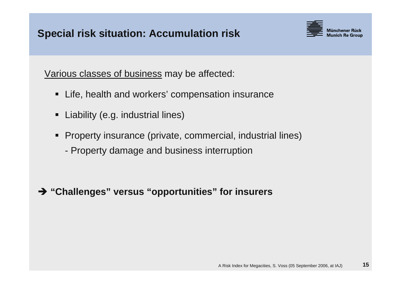

Various classes of business may be affected:

- Life, health and workers' compensation insurance
- $\blacksquare$ Liability (e.g. industrial lines)
- п Property insurance (private, commercial, industrial lines)
	- Property damage and business interruption

Î **"Challenges" versus "opportunities" for insurers**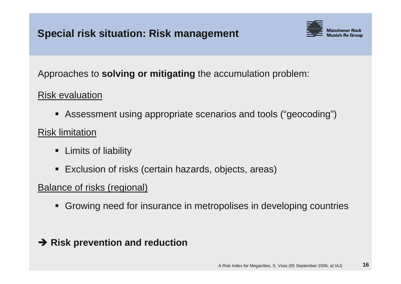

Approaches to **solving or mitigating** the accumulation problem:

Risk evaluation

- L Assessment using appropriate scenarios and tools ("geocoding")
- Risk limitation
	- П Limits of liability
	- L Exclusion of risks (certain hazards, objects, areas)

#### Balance of risks (regional)

 $\blacksquare$ Growing need for insurance in metropolises in developing countries

### **→ Risk prevention and reduction**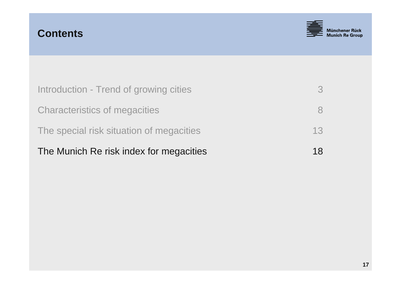



| The Munich Re risk index for megacities  | 18            |
|------------------------------------------|---------------|
| The special risk situation of megacities | 13            |
| <b>Characteristics of megacities</b>     |               |
| Introduction - Trend of growing cities   | $\mathcal{S}$ |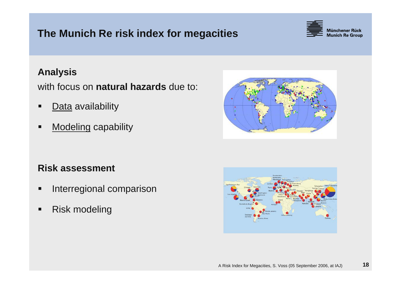### **The Munich Re risk index for megacities**



#### **Analysis**

with focus on **natural hazards** due to:

- П ■ <u>Data</u> availability
- П **Modeling capability**

#### **Risk assessment**

- $\blacksquare$ Interregional comparison
- П Risk modeling



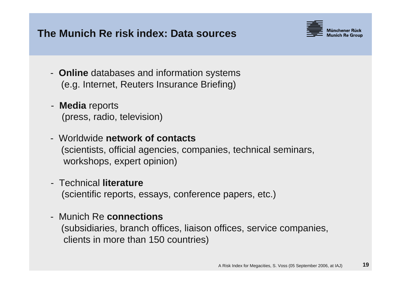#### **The Munich Re risk index: Data sources**



- **Online** databases and information systems (e.g. Internet, Reuters Insurance Briefing)
- **Media** reports (press, radio, television)
- Worldwide **network of contacts**(scientists, official agencies, companies, technical seminars, workshops, expert opinion)
- Technical **literature**(scientific reports, essays, conference papers, etc.)
- Munich Re **connections**(subsidiaries, branch offices, liaison offices, service companies, clients in more than 150 countries)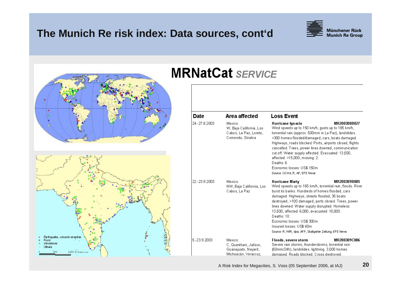#### **The Munich Re risk index: Data sources, cont'd**





#### A Risk Index for Megacities, S. Voss (05 September 2006, at IAJ) **20**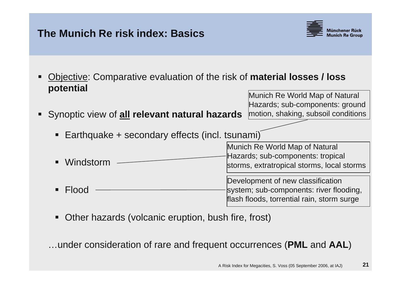#### **The Munich Re risk index: Basics**



Hazards; sub-components: ground

- T. Objective: Comparative evaluation of the risk of **material losses / loss potential** Munich Re World Map of Natural
- T. Synoptic view of **all relevant natural hazards** motion, shaking, subsoil conditions
	- П Earthquake + secondary effects (incl. tsunami)
	- П **Windstorm** L FloodMunich Re World Map of Natural Hazards; sub-components: tropical storms, extratropical storms, local storms Development of new classification system; sub-components: river flooding, flash floods, torrential rain, storm surge
	- L Other hazards (volcanic eruption, bush fire, frost)

…under consideration of rare and frequent occurrences (**PML** and **AAL**)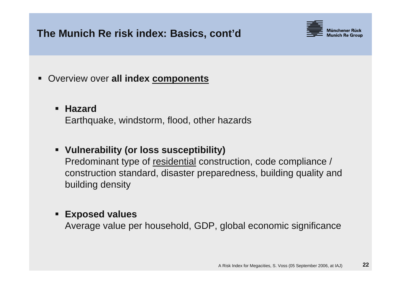#### **The Munich Re risk index: Basics, cont'd**



**Service Service** Overview over **all index components**

#### **Hazard**

Earthquake, windstorm, flood, other hazards

#### **Vulnerability (or loss susceptibility)**

Predominant type of residential construction, code compliance / construction standard, disaster preparedness, building quality and building density

#### $\blacksquare$ **Exposed values**

Average value per household, GDP, global economic significance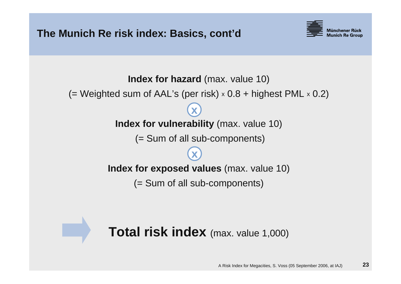



# **Total risk index** (max. value 1,000)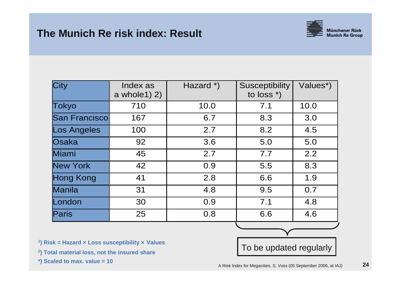

| City               | Index as<br>a whole $1)$ $2)$ | Hazard *)   | <b>Susceptibility</b><br>to loss $*$ ) |      |
|--------------------|-------------------------------|-------------|----------------------------------------|------|
| Tokyo              | 710                           | 10.0<br>7.1 |                                        | 10.0 |
| San Francisco      | 167                           | 6.7<br>8.3  |                                        | 3.0  |
| <b>Los Angeles</b> | 100                           | 2.7         | 8.2                                    |      |
| Osaka              | 92                            | 3.6         | 5.0                                    | 5.0  |
| Miami              | 45                            | 2.7         | 7.7                                    | 2.2  |
| <b>New York</b>    | 42                            | 0.9         | 5.5                                    | 8.3  |
| <b>Hong Kong</b>   | 41                            | 2.8         | 6.6                                    | 1.9  |
| Manila             | 31                            | 4.8         | 9.5                                    | 0.7  |
| London             | 30                            | 0.9         | 7.1                                    | 4.8  |
| Paris              | 25                            | 0.8         | 6.6                                    | 4.6  |

- **1) Risk = Hazard <sup>×</sup> Loss susceptibility <sup>×</sup> Values**
- **2) Total material loss, not the insured share**
- **\*) Scaled to max. value = 10**

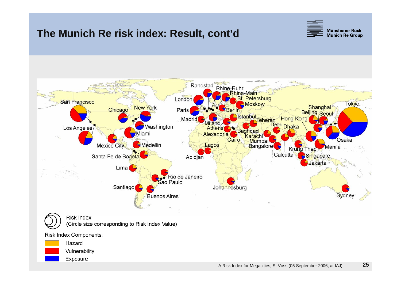#### **The Munich Re risk index: Result, cont'd**





**Risk Index** (Circle size corresponding to Risk Index Value)

Risk Index Components: Hazard

Vulnerability

Exposure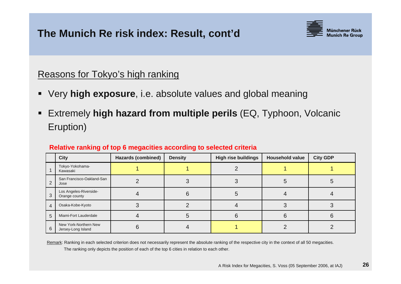

#### Reasons for Tokyo's high ranking

- T. Very **high exposure**, i.e. absolute values and global meaning
- T. Extremely **high hazard from multiple perils** (EQ, Typhoon, Volcanic Eruption)

|   | <b>City</b>                                 | <b>Hazards (combined)</b> | <b>Density</b> | <b>High rise buildings</b> | <b>Household value</b> | <b>City GDP</b> |
|---|---------------------------------------------|---------------------------|----------------|----------------------------|------------------------|-----------------|
|   | Tokyo-Yokohama-<br>Kawasaki                 |                           |                |                            |                        |                 |
| ⌒ | San Francisco-Oakland-San<br>Jose           |                           |                |                            |                        |                 |
| 3 | Los Angeles-Riverside-<br>Orange county     |                           |                |                            |                        |                 |
| 4 | Osaka-Kobe-Kyoto                            |                           |                |                            |                        |                 |
| 5 | Miami-Fort Lauderdale                       |                           |                |                            |                        |                 |
| 6 | New York-Northern New<br>Jersey-Long Island |                           |                |                            |                        |                 |

Remark: Ranking in each selected criterion does not necessarily represent the absolute ranking of the respective city in the context of all 50 megacities.

The ranking only depicts the position of each of the top 6 cities in relation to each other.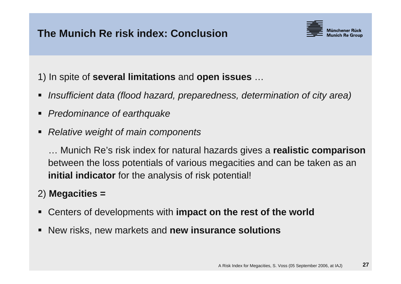

1) In spite of **several limitations** and **open issues** …

- T. *Insufficient data (flood hazard, preparedness, determination of city area)*
- T. *Predominance of earthquake*
- **Service Service** *Relative weight of main components*

… Munich Re's risk index for natural hazards gives a **realistic comparison** between the loss potentials of various megacities and can be taken as an **initial indicator** for the analysis of risk potential!

#### 2) **Megacities =**

- **Service Service** Centers of developments with **impact on the rest of the world**
- T. New risks, new markets and **new insurance solutions**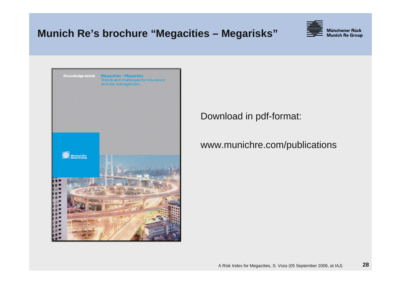#### **Munich Re's brochure "Megacities – Megarisks"**





Download in pdf-format:

#### www.munichre.com/publications